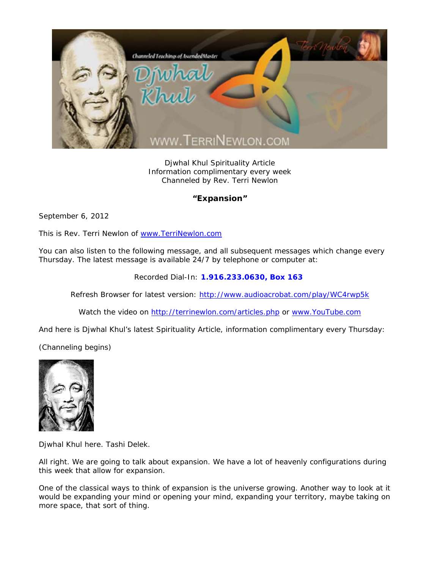

Djwhal Khul Spirituality Article Information complimentary every week Channeled by Rev. Terri Newlon

## **"Expansion"**

September 6, 2012

This is Rev. Terri Newlon of www.TerriNewlon.com

You can also listen to the following message, and all subsequent messages which change every Thursday. The latest message is available 24/7 by telephone or computer at:

Recorded Dial-In: **1.916.233.0630, Box 163** 

Refresh Browser for latest version: http://www.audioacrobat.com/play/WC4rwp5k

Watch the video on http://terrinewlon.com/articles.php or www.YouTube.com

And here is Djwhal Khul's latest Spirituality Article, information complimentary every Thursday:

(Channeling begins)



Djwhal Khul here. Tashi Delek.

All right. We are going to talk about expansion. We have a lot of heavenly configurations during this week that allow for expansion.

One of the classical ways to think of expansion is the universe growing. Another way to look at it would be expanding your mind or opening your mind, expanding your territory, maybe taking on more space, that sort of thing.